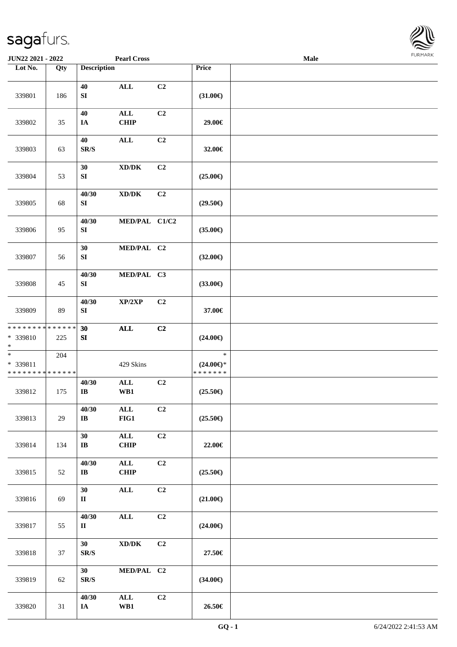

| JUN22 2021 - 2022                               |                   |                                             | <b>Pearl Cross</b>                          |                |                                                | <b>Male</b> |  |
|-------------------------------------------------|-------------------|---------------------------------------------|---------------------------------------------|----------------|------------------------------------------------|-------------|--|
| Lot No.                                         | $\overline{Q}$ ty | <b>Description</b>                          |                                             |                | Price                                          |             |  |
| 339801                                          | 186               | 40<br>${\bf S}{\bf I}$                      | <b>ALL</b>                                  | C2             | $(31.00\epsilon)$                              |             |  |
| 339802                                          | 35                | 40<br>IA                                    | $\mathbf{ALL}$<br><b>CHIP</b>               | C2             | 29.00€                                         |             |  |
| 339803                                          | 63                | 40<br>$\mathbf{SR}/\mathbf{S}$              | <b>ALL</b>                                  | C2             | 32.00€                                         |             |  |
| 339804                                          | 53                | 30<br>${\bf S}{\bf I}$                      | $\mathbf{X}\mathbf{D}/\mathbf{D}\mathbf{K}$ | C2             | $(25.00\epsilon)$                              |             |  |
| 339805                                          | 68                | 40/30<br>SI                                 | $\bold{X}\bold{D}/\bold{D}\bold{K}$         | C2             | $(29.50\epsilon)$                              |             |  |
| 339806                                          | 95                | 40/30<br>SI                                 | MED/PAL C1/C2                               |                | $(35.00\epsilon)$                              |             |  |
| 339807                                          | 56                | 30<br>${\bf S}{\bf I}$                      | MED/PAL C2                                  |                | $(32.00\epsilon)$                              |             |  |
| 339808                                          | 45                | 40/30<br>SI                                 | MED/PAL C3                                  |                | $(33.00\epsilon)$                              |             |  |
| 339809                                          | 89                | 40/30<br>${\bf S}{\bf I}$                   | XP/2XP                                      | C2             | 37.00€                                         |             |  |
| ******** <mark>******</mark><br>* 339810<br>$*$ | 225               | 30<br>SI                                    | $\mathbf{ALL}$                              | C2             | $(24.00\epsilon)$                              |             |  |
| $*$<br>* 339811<br>* * * * * * * * * * * * * *  | 204               |                                             | 429 Skins                                   |                | $\ast$<br>$(24.00\epsilon)$ *<br>* * * * * * * |             |  |
| 339812                                          | 175               | 40/30<br>$\bf{IB}$                          | $\mathbf{ALL}$<br>WB1                       | C2             | $(25.50\epsilon)$                              |             |  |
| 339813                                          | 29                | 40/30<br>$\bf IB$                           | ALL<br>$FIG1$                               | C2             | $(25.50\epsilon)$                              |             |  |
| 339814                                          | 134               | 30<br>$\bf IB$                              | ALL<br><b>CHIP</b>                          | C2             | 22.00€                                         |             |  |
| 339815                                          | 52                | 40/30<br>$\mathbf{I}\mathbf{B}$             | $\mathbf{ALL}$<br>CHIP                      | C <sub>2</sub> | $(25.50\epsilon)$                              |             |  |
| 339816                                          | 69                | 30<br>$\mathbf{I}$                          | $\mathbf{ALL}$                              | C2             | $(21.00\epsilon)$                              |             |  |
| 339817                                          | 55                | 40/30<br>$\mathbf{I}$                       | $\mathbf{ALL}$                              | C2             | $(24.00\epsilon)$                              |             |  |
| 339818                                          | 37                | 30 <sup>°</sup><br>$\mathbf{SR}/\mathbf{S}$ | $\bold{X}\bold{D}/\bold{D}\bold{K}$         | C2             | 27.50€                                         |             |  |
| 339819                                          | 62                | 30<br>$\mathbf{SR}/\mathbf{S}$              | MED/PAL C2                                  |                | $(34.00\epsilon)$                              |             |  |
| 339820                                          | 31                | 40/30<br><b>IA</b>                          | $\mathbf{ALL}$<br>WB1                       | C2             | 26.50€                                         |             |  |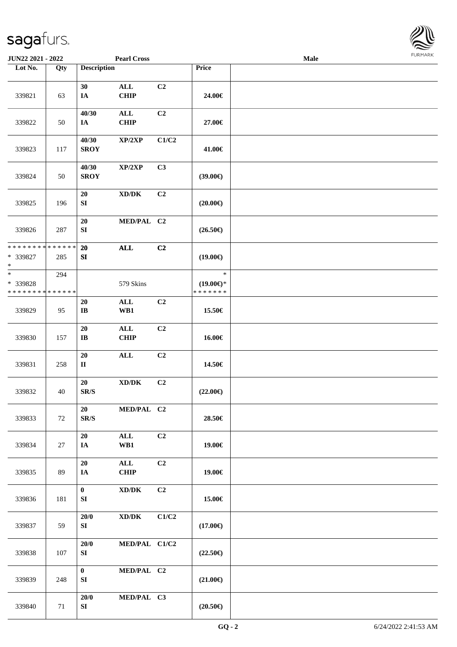

| <b>JUN22 2021 - 2022</b>                                         |     |                                  | <b>Pearl Cross</b>                          |                |                                                | Male |  |
|------------------------------------------------------------------|-----|----------------------------------|---------------------------------------------|----------------|------------------------------------------------|------|--|
| Lot No.                                                          | Qty | <b>Description</b>               |                                             |                | Price                                          |      |  |
| 339821                                                           | 63  | 30<br>IA                         | $\mathbf{ALL}$<br><b>CHIP</b>               | C2             | 24.00€                                         |      |  |
| 339822                                                           | 50  | 40/30<br>IA                      | $\mathbf{ALL}$<br><b>CHIP</b>               | C2             | 27.00€                                         |      |  |
| 339823                                                           | 117 | 40/30<br><b>SROY</b>             | XP/2XP                                      | C1/C2          | 41.00€                                         |      |  |
| 339824                                                           | 50  | 40/30<br><b>SROY</b>             | XP/2XP                                      | C3             | $(39.00\epsilon)$                              |      |  |
| 339825                                                           | 196 | 20<br>${\bf SI}$                 | $\bold{X}\bold{D}/\bold{D}\bold{K}$         | C2             | $(20.00\epsilon)$                              |      |  |
| 339826                                                           | 287 | 20<br>${\bf SI}$                 | MED/PAL C2                                  |                | $(26.50\epsilon)$                              |      |  |
| * * * * * * * * <mark>* * * * * * *</mark><br>* 339827<br>$\ast$ | 285 | 20<br>${\bf S}{\bf I}$           | $\mathbf{ALL}$                              | C2             | $(19.00\epsilon)$                              |      |  |
| $*$<br>* 339828<br>* * * * * * * * * * * * * *                   | 294 |                                  | 579 Skins                                   |                | $\ast$<br>$(19.00\epsilon)$ *<br>* * * * * * * |      |  |
| 339829                                                           | 95  | 20<br>IB                         | $\mathbf{ALL}$<br>WB1                       | C2             | 15.50€                                         |      |  |
| 339830                                                           | 157 | 20<br>$\mathbf{I}\mathbf{B}$     | $\mathbf{ALL}$<br><b>CHIP</b>               | C2             | 16.00€                                         |      |  |
| 339831                                                           | 258 | 20<br>$\rm II$                   | $\mathbf{ALL}$                              | C2             | 14.50€                                         |      |  |
| 339832                                                           | 40  | 20<br>SR/S                       | $\mathbf{X}\mathbf{D}/\mathbf{D}\mathbf{K}$ | C2             | $(22.00\epsilon)$                              |      |  |
| 339833                                                           | 72  | 20<br>SR/S                       | MED/PAL C2                                  |                | 28.50€                                         |      |  |
| 339834                                                           | 27  | 20<br>IA                         | $\mathbf{ALL}$<br>WB1                       | C2             | 19.00€                                         |      |  |
| 339835                                                           | 89  | 20<br>IA                         | $\mathbf{ALL}$<br><b>CHIP</b>               | C2             | 19.00€                                         |      |  |
| 339836                                                           | 181 | $\bf{0}$<br>SI                   | $\bold{X}\bold{D}/\bold{D}\bold{K}$         | C <sub>2</sub> | 15.00€                                         |      |  |
| 339837                                                           | 59  | $20/0$<br>SI                     | $\bold{X}\bold{D}/\bold{D}\bold{K}$         | C1/C2          | $(17.00\epsilon)$                              |      |  |
| 339838                                                           | 107 | 20/0<br>${\bf S}{\bf I}$         | MED/PAL C1/C2                               |                | $(22.50\epsilon)$                              |      |  |
| 339839                                                           | 248 | $\mathbf{0}$<br>${\bf S}{\bf I}$ | MED/PAL C2                                  |                | $(21.00\epsilon)$                              |      |  |
| 339840                                                           | 71  | 20/0<br>SI                       | MED/PAL C3                                  |                | $(20.50\epsilon)$                              |      |  |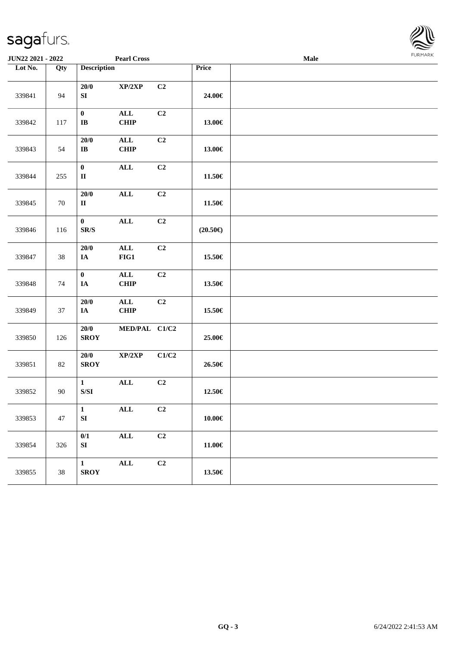| <b>JUN22 2021 - 2022</b> |                   |                                                                                                        | <b>Pearl Cross</b>            |       |                   | Male |  |
|--------------------------|-------------------|--------------------------------------------------------------------------------------------------------|-------------------------------|-------|-------------------|------|--|
| Lot No.                  | $\overline{Q}$ ty | <b>Description</b>                                                                                     |                               |       | Price             |      |  |
| 339841                   | 94                | 20/0<br>${\bf S}{\bf I}$                                                                               | XP/2XP                        | C2    | 24.00€            |      |  |
| 339842                   | 117               | $\mathbf{0}$<br>$\mathbf{I}\mathbf{B}$                                                                 | $\mathbf{ALL}$<br><b>CHIP</b> | C2    | 13.00€            |      |  |
| 339843                   | 54                | 20/0<br>$\bf IB$                                                                                       | $\mathbf{ALL}$<br><b>CHIP</b> | C2    | 13.00€            |      |  |
| 339844                   | 255               | $\pmb{0}$<br>$\rm II$                                                                                  | <b>ALL</b>                    | C2    | 11.50€            |      |  |
| 339845                   | 70                | 20/0<br>$\mathbf{I}$                                                                                   | $\mathbf{ALL}$                | C2    | 11.50€            |      |  |
| 339846                   | 116               | $\bf{0}$<br>$\mathbf{SR}/\mathbf{S}$                                                                   | $\mathbf{ALL}$                | C2    | $(20.50\epsilon)$ |      |  |
| 339847                   | 38                | 20/0<br>$I\!\!A$                                                                                       | $\mathbf{ALL}$<br>$FIG1$      | C2    | 15.50€            |      |  |
| 339848                   | 74                | $\mathbf 0$<br>IA                                                                                      | $\mathbf{ALL}$<br><b>CHIP</b> | C2    | 13.50€            |      |  |
| 339849                   | 37                | $20/0$<br>IA                                                                                           | $\mathbf{ALL}$<br><b>CHIP</b> | C2    | 15.50€            |      |  |
| 339850                   | 126               | 20/0<br><b>SROY</b>                                                                                    | MED/PAL C1/C2                 |       | 25.00€            |      |  |
| 339851                   | 82                | 20/0<br><b>SROY</b>                                                                                    | XP/2XP                        | C1/C2 | 26.50€            |      |  |
| 339852                   | 90                | $\mathbf{1}$<br>$\ensuremath{\mathrm{S}}\xspace/\ensuremath{\mathrm{S}}\xspace\ensuremath{\mathrm{I}}$ | $\mathbf{ALL}$                | C2    | 12.50€            |      |  |
| 339853                   | 47                | $\mathbf{1}$<br>SI                                                                                     | $\mathbf{ALL}$                | C2    | $10.00\in$        |      |  |
| 339854                   | 326               | 0/1<br>SI                                                                                              | $\mathbf{ALL}$                | C2    | 11.00€            |      |  |
| 339855                   | 38                | $\mathbf{1}$<br><b>SROY</b>                                                                            | $\mathbf{ALL}$                | C2    | 13.50€            |      |  |

**FURMAR**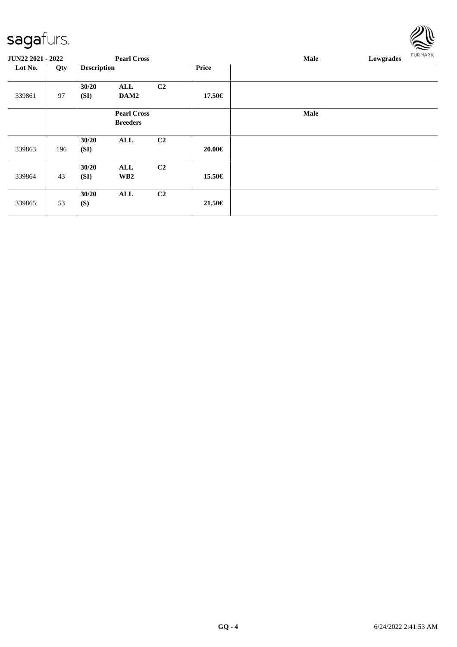|                          |     |                    |                                       |                |        |             |           | $\overline{\phantom{a}}$ |
|--------------------------|-----|--------------------|---------------------------------------|----------------|--------|-------------|-----------|--------------------------|
| <b>JUN22 2021 - 2022</b> |     |                    | <b>Pearl Cross</b>                    |                |        | Male        | Lowgrades | <b>FURMARK</b>           |
| Lot No.                  | Qty | <b>Description</b> |                                       |                | Price  |             |           |                          |
| 339861                   | 97  | 30/20<br>(SI)      | ALL<br>DAM2                           | C2             | 17.50€ |             |           |                          |
|                          |     |                    | <b>Pearl Cross</b><br><b>Breeders</b> |                |        | <b>Male</b> |           |                          |
| 339863                   | 196 | 30/20<br>(SI)      | ALL                                   | C <sub>2</sub> | 20.00€ |             |           |                          |
| 339864                   | 43  | 30/20<br>(SI)      | ALL<br>WB <sub>2</sub>                | C <sub>2</sub> | 15.50€ |             |           |                          |
| 339865                   | 53  | 30/20<br>(S)       | ALL                                   | C <sub>2</sub> | 21.50€ |             |           |                          |

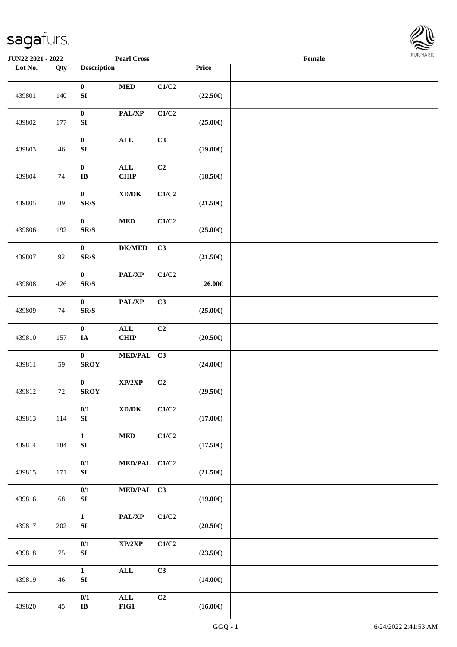

| JUN22 2021 - 2022 |     |                                             | <b>Pearl Cross</b>                          |                |                   | Female |  |
|-------------------|-----|---------------------------------------------|---------------------------------------------|----------------|-------------------|--------|--|
| Lot No.           | Qty | <b>Description</b>                          |                                             |                | Price             |        |  |
| 439801            | 140 | $\mathbf{0}$<br>${\bf S}{\bf I}$            | $\bf MED$                                   | C1/C2          | $(22.50\epsilon)$ |        |  |
| 439802            | 177 | $\pmb{0}$<br>${\bf S}{\bf I}$               | PAL/XP                                      | C1/C2          | $(25.00\epsilon)$ |        |  |
| 439803            | 46  | $\pmb{0}$<br>${\bf S}{\bf I}$               | <b>ALL</b>                                  | C3             | $(19.00\epsilon)$ |        |  |
| 439804            | 74  | $\mathbf{0}$<br>$\bf IB$                    | ALL<br><b>CHIP</b>                          | C2             | $(18.50\epsilon)$ |        |  |
| 439805            | 89  | $\pmb{0}$<br>$\mathbf{SR}/\mathbf{S}$       | $\mathbf{X}\mathbf{D}/\mathbf{D}\mathbf{K}$ | C1/C2          | $(21.50\epsilon)$ |        |  |
| 439806            | 192 | $\bf{0}$<br>$\mathbf{SR}/\mathbf{S}$        | $\bf MED$                                   | C1/C2          | $(25.00\epsilon)$ |        |  |
| 439807            | 92  | $\bf{0}$<br>$\mathbf{SR}/\mathbf{S}$        | <b>DK/MED</b>                               | C3             | $(21.50\epsilon)$ |        |  |
| 439808            | 426 | $\pmb{0}$<br>SR/S                           | PAL/XP                                      | C1/C2          | 26.00€            |        |  |
| 439809            | 74  | $\mathbf{0}$<br>$\mbox{S}\mbox{R}/\mbox{S}$ | $\mathbf{PAL}/\mathbf{XP}$                  | C3             | $(25.00\epsilon)$ |        |  |
| 439810            | 157 | $\mathbf{0}$<br>$I\!\!A$                    | $\mathbf{ALL}$<br><b>CHIP</b>               | C <sub>2</sub> | $(20.50\epsilon)$ |        |  |
| 439811            | 59  | $\mathbf{0}$<br><b>SROY</b>                 | MED/PAL C3                                  |                | $(24.00\epsilon)$ |        |  |
| 439812            | 72  | $\bf{0}$<br><b>SROY</b>                     | XP/2XP                                      | C2             | $(29.50\epsilon)$ |        |  |
| 439813            | 114 | 0/1<br>SI                                   | $\bold{X}\bold{D}/\bold{D}\bold{K}$         | C1/C2          | $(17.00\epsilon)$ |        |  |
| 439814            | 184 | $\mathbf{1}$<br>SI                          | $\bf MED$                                   | C1/C2          | $(17.50\epsilon)$ |        |  |
| 439815            | 171 | 0/1<br>SI                                   | MED/PAL C1/C2                               |                | $(21.50\epsilon)$ |        |  |
| 439816            | 68  | 0/1<br>${\bf S}{\bf I}$                     | MED/PAL C3                                  |                | $(19.00\epsilon)$ |        |  |
| 439817            | 202 | $\mathbf{1}$<br>${\bf S}{\bf I}$            | PAL/XP                                      | C1/C2          | $(20.50\epsilon)$ |        |  |
| 439818            | 75  | 0/1<br>SI                                   | XP/2XP                                      | C1/C2          | $(23.50\epsilon)$ |        |  |
| 439819            | 46  | $\mathbf{1}$<br>${\bf S}{\bf I}$            | $\mathbf{ALL}$                              | C3             | $(14.00\epsilon)$ |        |  |
| 439820            | 45  | 0/1<br>$\bf IB$                             | $\mathbf{ALL}$<br>$FIG1$                    | C2             | $(16.00\epsilon)$ |        |  |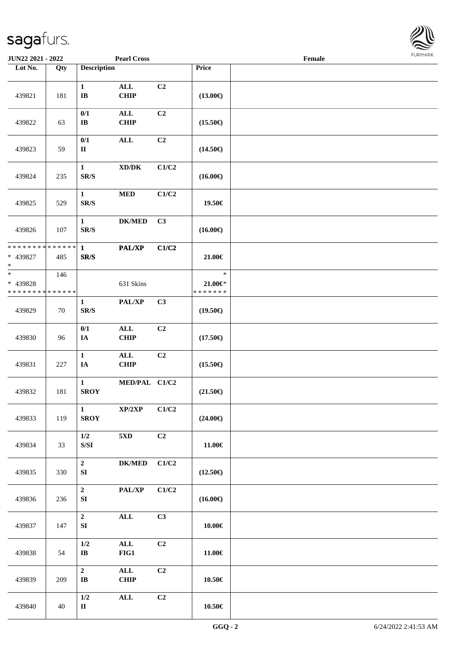

| JUN22 2021 - 2022                                 |     |                                                                                               | <b>Pearl Cross</b>                  |                |                                        | Female |  |
|---------------------------------------------------|-----|-----------------------------------------------------------------------------------------------|-------------------------------------|----------------|----------------------------------------|--------|--|
| Lot No.                                           | Qty | <b>Description</b>                                                                            |                                     |                | Price                                  |        |  |
| 439821                                            | 181 | $\mathbf{1}$<br>$\bf{IB}$                                                                     | $\mathbf{ALL}$<br><b>CHIP</b>       | C2             | $(13.00\epsilon)$                      |        |  |
| 439822                                            | 63  | 0/1<br>$\bf I\bf B$                                                                           | $\mathbf{ALL}$<br><b>CHIP</b>       | C2             | $(15.50\epsilon)$                      |        |  |
| 439823                                            | 59  | 0/1<br>$\rm II$                                                                               | $\mathbf{ALL}$                      | C2             | $(14.50\epsilon)$                      |        |  |
| 439824                                            | 235 | $\mathbf{1}$<br>$\mathbf{SR}/\mathbf{S}$                                                      | $\bold{X}\bold{D}/\bold{D}\bold{K}$ | C1/C2          | $(16.00\epsilon)$                      |        |  |
| 439825                                            | 529 | $\mathbf{1}$<br>SR/S                                                                          | $\bf MED$                           | C1/C2          | 19.50€                                 |        |  |
| 439826                                            | 107 | $\mathbf{1}$<br>$\mathbf{SR}/\mathbf{S}$                                                      | <b>DK/MED</b>                       | C3             | $(16.00\epsilon)$                      |        |  |
| * * * * * * * * * * * * * *<br>* 439827<br>$*$    | 485 | $\mathbf{1}$<br>$\mathbf{SR}/\mathbf{S}$                                                      | PAL/XP                              | C1/C2          | 21.00€                                 |        |  |
| $\ast$<br>* 439828<br>* * * * * * * * * * * * * * | 146 |                                                                                               | 631 Skins                           |                | $\ast$<br>$21.00 \in$<br>* * * * * * * |        |  |
| 439829                                            | 70  | 1<br>$\mathbf{SR}/\mathbf{S}$                                                                 | PAL/XP                              | C3             | $(19.50\epsilon)$                      |        |  |
| 439830                                            | 96  | $0/1$<br>$I\!\!A$                                                                             | $\mathbf{ALL}$<br><b>CHIP</b>       | C <sub>2</sub> | $(17.50\epsilon)$                      |        |  |
| 439831                                            | 227 | $\mathbf{1}$<br>IA                                                                            | $\mathbf{ALL}$<br><b>CHIP</b>       | C2             | $(15.50\epsilon)$                      |        |  |
| 439832                                            | 181 | $\mathbf{1}$<br><b>SROY</b>                                                                   | MED/PAL C1/C2                       |                | $(21.50\epsilon)$                      |        |  |
| 439833                                            | 119 | $\mathbf{1}$<br><b>SROY</b>                                                                   | XP/2XP                              | C1/C2          | $(24.00\epsilon)$                      |        |  |
| 439834                                            | 33  | 1/2<br>$\ensuremath{\mathrm{S}}\xspace/\ensuremath{\mathrm{S}}\xspace\ensuremath{\mathrm{I}}$ | 5XD                                 | C <sub>2</sub> | 11.00€                                 |        |  |
| 439835                                            | 330 | $\mathbf{2}$<br>SI                                                                            | <b>DK/MED</b>                       | C1/C2          | $(12.50\epsilon)$                      |        |  |
| 439836                                            | 236 | $\mathbf{2}$<br>SI                                                                            | PAL/XP                              | C1/C2          | $(16.00\epsilon)$                      |        |  |
| 439837                                            | 147 | $\mathbf{2}$<br>${\bf S}{\bf I}$                                                              | $\mathbf{ALL}$                      | C3             | $10.00 \in$                            |        |  |
| 439838                                            | 54  | 1/2<br>$\bf{IB}$                                                                              | $\mathbf{ALL}$<br>FIG1              | C <sub>2</sub> | 11.00€                                 |        |  |
| 439839                                            | 209 | $\overline{2}$<br>$\mathbf{I}\mathbf{B}$                                                      | $\mathbf{ALL}$<br>CHIP              | C <sub>2</sub> | 10.50€                                 |        |  |
| 439840                                            | 40  | $1/2$<br>$\mathbf{I}$                                                                         | $\mathbf{ALL}$                      | C2             | $10.50\in$                             |        |  |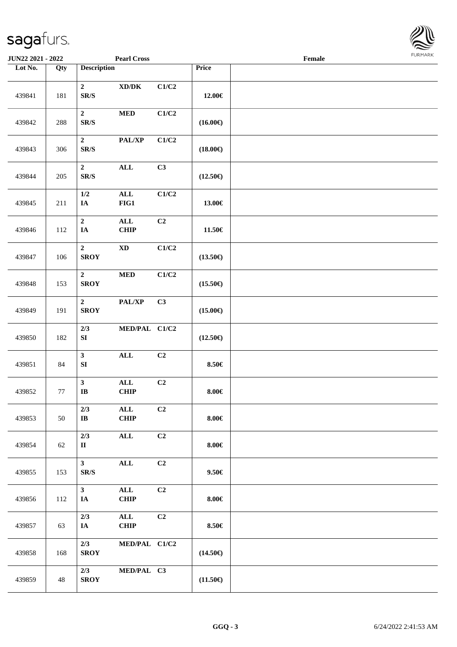

| <b>JUN22 2021 - 2022</b> |     |                                              | <b>Pearl Cross</b>                                           |                |                   | Female |  |
|--------------------------|-----|----------------------------------------------|--------------------------------------------------------------|----------------|-------------------|--------|--|
| Lot No.                  | Qty | <b>Description</b>                           |                                                              |                | Price             |        |  |
| 439841                   | 181 | $\mathbf{2}$<br>$\mbox{S}\mbox{R}/\mbox{S}$  | $\boldsymbol{\text{XD}}\boldsymbol{/}\boldsymbol{\text{DK}}$ | C1/C2          | 12.00€            |        |  |
| 439842                   | 288 | $\boldsymbol{2}$<br>$\mathbf{SR}/\mathbf{S}$ | $\bf MED$                                                    | C1/C2          | $(16.00\epsilon)$ |        |  |
| 439843                   | 306 | $\boldsymbol{2}$<br>$\mathbf{SR}/\mathbf{S}$ | PAL/XP                                                       | C1/C2          | $(18.00\epsilon)$ |        |  |
| 439844                   | 205 | $\mathbf{2}$<br>$\mathbf{SR}/\mathbf{S}$     | ALL                                                          | C3             | $(12.50\epsilon)$ |        |  |
| 439845                   | 211 | $1/2\,$<br>$I\!\!A$                          | $\mathbf{ALL}$<br>$FIG1$                                     | C1/C2          | 13.00€            |        |  |
| 439846                   | 112 | $\mathbf{2}$<br>$I\!\!A$                     | $\mathbf{ALL}$<br><b>CHIP</b>                                | C <sub>2</sub> | $11.50\in$        |        |  |
| 439847                   | 106 | $\boldsymbol{2}$<br><b>SROY</b>              | $\mathbf{X}\mathbf{D}$                                       | C1/C2          | $(13.50\epsilon)$ |        |  |
| 439848                   | 153 | $\boldsymbol{2}$<br><b>SROY</b>              | $\bf MED$                                                    | C1/C2          | $(15.50\epsilon)$ |        |  |
| 439849                   | 191 | $\mathbf{2}$<br><b>SROY</b>                  | $\mathbf{PAL}/\mathbf{XP}$                                   | C3             | $(15.00\epsilon)$ |        |  |
| 439850                   | 182 | 2/3<br>${\bf S}{\bf I}$                      | MED/PAL C1/C2                                                |                | $(12.50\epsilon)$ |        |  |
| 439851                   | 84  | $\overline{\mathbf{3}}$<br>${\bf SI}$        | $\mathbf{ALL}$                                               | C2             | 8.50€             |        |  |
| 439852                   | 77  | $\mathbf{3}$<br>$\bf{IB}$                    | $\mathbf{ALL}$<br><b>CHIP</b>                                | C2             | $8.00 \in$        |        |  |
| 439853                   | 50  | 2/3<br>$\bf{IB}$                             | ALL<br><b>CHIP</b>                                           | C2             | $8.00\in$         |        |  |
| 439854                   | 62  | 2/3<br>$\mathbf{I}$                          | $\mathbf{ALL}$                                               | C2             | $8.00 \in$        |        |  |
| 439855                   | 153 | 3 <sup>7</sup><br>$\mathbf{SR}/\mathbf{S}$   | $\mathbf{ALL}$                                               | C2             | $9.50 \in$        |        |  |
| 439856                   | 112 | 3 <sup>7</sup><br>$I\!\!A$                   | $\mathbf{ALL}$<br>CHIP                                       | C2             | $8.00 \in$        |        |  |
| 439857                   | 63  | 2/3<br>IA                                    | $\mathbf{ALL}$<br><b>CHIP</b>                                | C2             | 8.50€             |        |  |
| 439858                   | 168 | 2/3<br><b>SROY</b>                           | MED/PAL C1/C2                                                |                | $(14.50\epsilon)$ |        |  |
| 439859                   | 48  | 2/3<br><b>SROY</b>                           | MED/PAL C3                                                   |                | $(11.50\epsilon)$ |        |  |